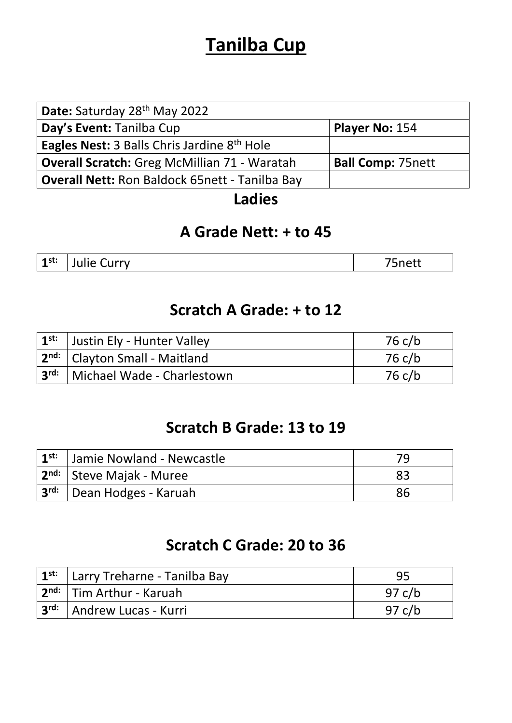# **Tanilba Cup**

| Date: Saturday 28th May 2022                          |                          |
|-------------------------------------------------------|--------------------------|
| Day's Event: Tanilba Cup                              | Player No: 154           |
| <b>Eagles Nest: 3 Balls Chris Jardine 8th Hole</b>    |                          |
| <b>Overall Scratch:</b> Greg McMillian 71 - Waratah   | <b>Ball Comp: 75nett</b> |
| <b>Overall Nett: Ron Baldock 65nett - Tanilba Bay</b> |                          |

### **Ladies**

### **A Grade Nett: + to 45**

**1 Statisfand Curry 75nett** 75nett

### **Scratch A Grade: + to 12**

| $1^{st:}$ Justin Ely - Hunter Valley        | 76 c/b |
|---------------------------------------------|--------|
| 2 <sup>nd:</sup>   Clayton Small - Maitland | 76 c/b |
| 3rd:   Michael Wade - Charlestown           | 76 c/b |

### **Scratch B Grade: 13 to 19**

| 1 <sup>st:</sup>   Jamie Nowland - Newcastle        | 79 |
|-----------------------------------------------------|----|
| <sub>l</sub> 2 <sup>nd:</sup>   Steve Majak - Muree | 83 |
| ⊦ 3 <sup>rd:</sup> │Dean Hodges - Karuah            | 86 |

### **Scratch C Grade: 20 to 36**

| 1 <sup>st:</sup>   Larry Treharne - Tanilba Bay | 95       |
|-------------------------------------------------|----------|
| . 2 <sup>nd:</sup>   Tim Arthur - Karuah        | 97 c/b   |
| 3r <sup>d:</sup> Andrew Lucas - Kurri           | 97 $c/b$ |